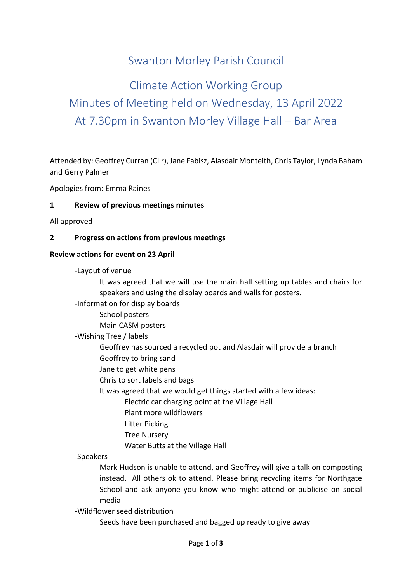# Swanton Morley Parish Council

# Climate Action Working Group Minutes of Meeting held on Wednesday, 13 April 2022 At 7.30pm in Swanton Morley Village Hall – Bar Area

Attended by: Geoffrey Curran (Cllr), Jane Fabisz, Alasdair Monteith, Chris Taylor, Lynda Baham and Gerry Palmer

Apologies from: Emma Raines

#### **1 Review of previous meetings minutes**

All approved

#### **2 Progress on actions from previous meetings**

#### **Review actions for event on 23 April**

-Layout of venue

It was agreed that we will use the main hall setting up tables and chairs for speakers and using the display boards and walls for posters.

-Information for display boards

School posters

Main CASM posters

-Wishing Tree / labels

Geoffrey has sourced a recycled pot and Alasdair will provide a branch Geoffrey to bring sand

Jane to get white pens

Chris to sort labels and bags

It was agreed that we would get things started with a few ideas:

Electric car charging point at the Village Hall

Plant more wildflowers

Litter Picking

Tree Nursery

Water Butts at the Village Hall

-Speakers

Mark Hudson is unable to attend, and Geoffrey will give a talk on composting instead. All others ok to attend. Please bring recycling items for Northgate School and ask anyone you know who might attend or publicise on social media

-Wildflower seed distribution

Seeds have been purchased and bagged up ready to give away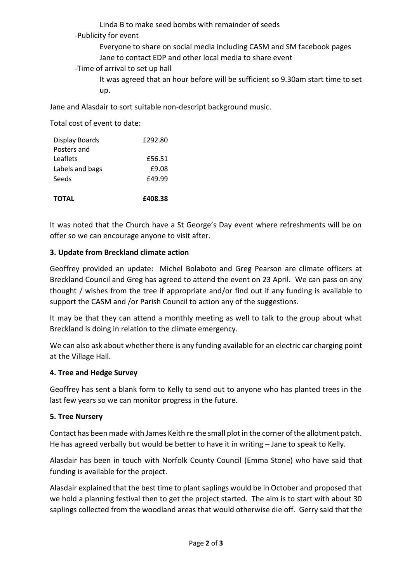Linda B to make seed bombs with remainder of seeds

- -Publicity for event
	- Everyone to share on social media including CASM and SM facebook pages Jane to contact EDP and other local media to share event
- -Time of arrival to set up hall
	- It was agreed that an hour before will be sufficient so 9.30am start time to set up.

Jane and Alasdair to sort suitable non-descript background music.

Total cost of event to date:

| <b>TOTAL</b>    | £408.38 |
|-----------------|---------|
| Seeds           | £49.99  |
| Labels and bags | £9.08   |
| Leaflets        | £56.51  |
| Posters and     |         |
| Display Boards  | £292.80 |

It was noted that the Church have a St George's Day event where refreshments will be on offer so we can encourage anyone to visit after.

## **3. Update from Breckland climate action**

Geoffrey provided an update: Michel Bolaboto and Greg Pearson are climate officers at Breckland Council and Greg has agreed to attend the event on 23 April. We can pass on any thought / wishes from the tree if appropriate and/or find out if any funding is available to support the CASM and /or Parish Council to action any of the suggestions.

It may be that they can attend a monthly meeting as well to talk to the group about what Breckland is doing in relation to the climate emergency.

We can also ask about whether there is any funding available for an electric car charging point at the Village Hall.

#### **4. Tree and Hedge Survey**

Geoffrey has sent a blank form to Kelly to send out to anyone who has planted trees in the last few years so we can monitor progress in the future.

# **5. Tree Nursery**

Contact has been made with James Keith re the small plot in the corner of the allotment patch. He has agreed verbally but would be better to have it in writing – Jane to speak to Kelly.

Alasdair has been in touch with Norfolk County Council (Emma Stone) who have said that funding is available for the project.

Alasdair explained that the best time to plant saplings would be in October and proposed that we hold a planning festival then to get the project started. The aim is to start with about 30 saplings collected from the woodland areas that would otherwise die off. Gerry said that the